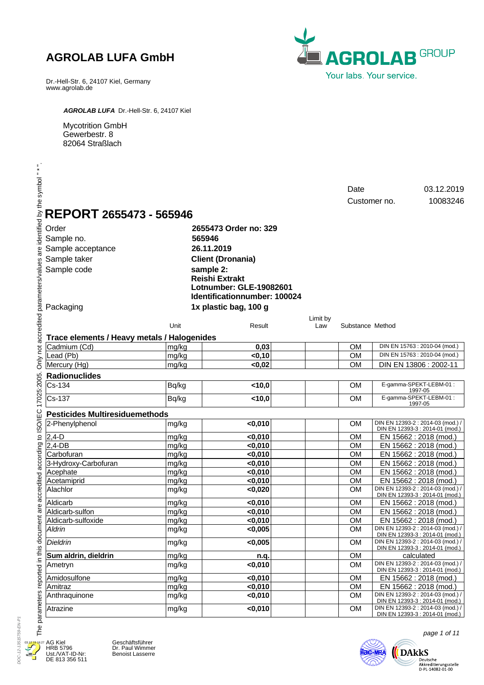Dr.-Hell-Str. 6, 24107 Kiel, Germany www.agrolab.de



*AGROLAB LUFA* Dr.-Hell-Str. 6, 24107 Kiel

Mycotrition GmbH Gewerbestr. 8 82064 Straßlach

|                 |                                             |       |                              |                 | Date                   |              | 03.12.2019                                                           |
|-----------------|---------------------------------------------|-------|------------------------------|-----------------|------------------------|--------------|----------------------------------------------------------------------|
|                 |                                             |       |                              |                 |                        | Customer no. | 10083246                                                             |
|                 |                                             |       |                              |                 |                        |              |                                                                      |
|                 | REPORT 2655473 - 565946                     |       |                              |                 |                        |              |                                                                      |
| Order           |                                             |       | 2655473 Order no: 329        |                 |                        |              |                                                                      |
| Sample no.      |                                             |       | 565946                       |                 |                        |              |                                                                      |
|                 | Sample acceptance                           |       | 26.11.2019                   |                 |                        |              |                                                                      |
|                 | Sample taker                                |       | <b>Client (Dronania)</b>     |                 |                        |              |                                                                      |
| Sample code     |                                             |       | sample 2:                    |                 |                        |              |                                                                      |
|                 |                                             |       | <b>Reishi Extrakt</b>        |                 |                        |              |                                                                      |
|                 |                                             |       | Lotnumber: GLE-19082601      |                 |                        |              |                                                                      |
|                 |                                             |       | Identificationnumber: 100024 |                 |                        |              |                                                                      |
|                 |                                             |       | 1x plastic bag, 100 g        |                 |                        |              |                                                                      |
| Packaging       |                                             |       |                              |                 |                        |              |                                                                      |
|                 |                                             | Unit  | Result                       | Limit by<br>Law | Substance Method       |              |                                                                      |
|                 |                                             |       |                              |                 |                        |              |                                                                      |
|                 | Trace elements / Heavy metals / Halogenides |       |                              |                 |                        |              |                                                                      |
|                 | Cadmium (Cd)                                | mg/kg | 0,03                         |                 | <b>OM</b>              |              | DIN EN 15763 : 2010-04 (mod.)                                        |
| Lead (Pb)       |                                             | mg/kg | < 0, 10                      |                 | <b>OM</b><br><b>OM</b> |              | DIN EN 15763 : 2010-04 (mod.)                                        |
| Mercury (Hg)    |                                             | mg/kg | < 0,02                       |                 |                        |              | DIN EN 13806 : 2002-11                                               |
|                 | <b>Radionuclides</b>                        |       |                              |                 |                        |              |                                                                      |
| Cs-134          |                                             | Bq/kg | < 10,0                       |                 | <b>OM</b>              |              | E-gamma-SPEKT-LEBM-01:<br>1997-05                                    |
| Cs-137          |                                             | Bq/kg | < 10,0                       |                 | <b>OM</b>              |              | E-gamma-SPEKT-LEBM-01:<br>1997-05                                    |
|                 | <b>Pesticides Multiresiduemethods</b>       |       |                              |                 |                        |              |                                                                      |
|                 | 2-Phenylphenol                              | mg/kg | $0,010$                      |                 | <b>OM</b>              |              | DIN EN 12393-2 : 2014-03 (mod.) /<br>DIN EN 12393-3 : 2014-01 (mod.) |
| $2,4-D$         |                                             | mg/kg | < 0,010                      |                 | <b>OM</b>              |              | EN 15662 : 2018 (mod.)                                               |
| $2,4$ -DB       |                                             | mg/kg | $0,010$                      |                 | <b>OM</b>              |              | EN 15662 : 2018 (mod.)                                               |
| Carbofuran      |                                             | mg/kg | < 0,010                      |                 | OM                     |              | EN 15662 : 2018 (mod.)                                               |
|                 | 3-Hydroxy-Carbofuran                        | mg/kg | $0,010$                      |                 | <b>OM</b>              |              | EN 15662 : 2018 (mod.)                                               |
| Acephate        |                                             | mg/kg | < 0,010                      |                 | <b>OM</b>              |              | EN 15662 : 2018 (mod.)                                               |
| Acetamiprid     |                                             | mg/kg | $0,010$                      |                 | <b>OM</b>              |              | EN 15662 : 2018 (mod.)                                               |
| Alachlor        |                                             | mg/kg | $<$ 0,020                    |                 | <b>OM</b>              |              | DIN EN 12393-2 : 2014-03 (mod.) /<br>DIN EN 12393-3 : 2014-01 (mod.) |
| Aldicarb        |                                             | mg/kg | $0,010$                      |                 | <b>OM</b>              |              | EN 15662 : 2018 (mod.)                                               |
|                 | Aldicarb-sulfon                             | mg/kg | $0,010$                      |                 | <b>OM</b>              |              | EN 15662 : 2018 (mod.)                                               |
|                 | Aldicarb-sulfoxide                          | mg/kg | $0,010$                      |                 | <b>OM</b>              |              | EN 15662 : 2018 (mod.)                                               |
| Aldrin          |                                             | mg/kg | < 0,005                      |                 | <b>OM</b>              |              | DIN EN 12393-2 : 2014-03 (mod.) /<br>DIN EN 12393-3 : 2014-01 (mod.) |
| <b>Dieldrin</b> |                                             | mg/kg | < 0,005                      |                 | OM                     |              | DIN EN 12393-2 : 2014-03 (mod.) /<br>DIN EN 12393-3 : 2014-01 (mod.) |
|                 | Sum aldrin, dieldrin                        | mg/kg | n.q.                         |                 | <b>OM</b>              |              | calculated<br>DIN EN 12393-2 : 2014-03 (mod.) /                      |
| Ametryn         |                                             | mg/kg | $0,010$                      |                 | <b>OM</b>              |              | DIN EN 12393-3 : 2014-01 (mod.)                                      |
| Amidosulfone    |                                             | mg/kg | $0,010$                      |                 | OM                     |              | EN 15662 : 2018 (mod.)                                               |
| Amitraz         |                                             | mg/kg | $0,010$                      |                 | OM                     |              | EN 15662 : 2018 (mod.)<br>DIN EN 12393-2 : 2014-03 (mod.) /          |
|                 | Anthraquinone                               | mg/kg | < 0,010                      |                 | <b>OM</b>              |              | DIN EN 12393-3 : 2014-01 (mod.)<br>DIN EN 12393-2 : 2014-03 (mod.) / |
| Atrazine        |                                             | mg/kg | $0,010$                      |                 | <b>OM</b>              |              | DIN EN 12393-3 : 2014-01 (mod.)                                      |

DOC-12-13515759-EN-P1 DOC-12-13515759-EN-P1 03.12.19 16:27Д

AG Kiel HRB 5796 Ust./VAT-ID-Nr: DE 813 356 511



page 1 of 11

 $\bigotimes_{\substack{\text{Deutsche}\\ \text{Akkediterungstelle}\\ \text{D-PL-14082-01-00}}} \text{DAkks}$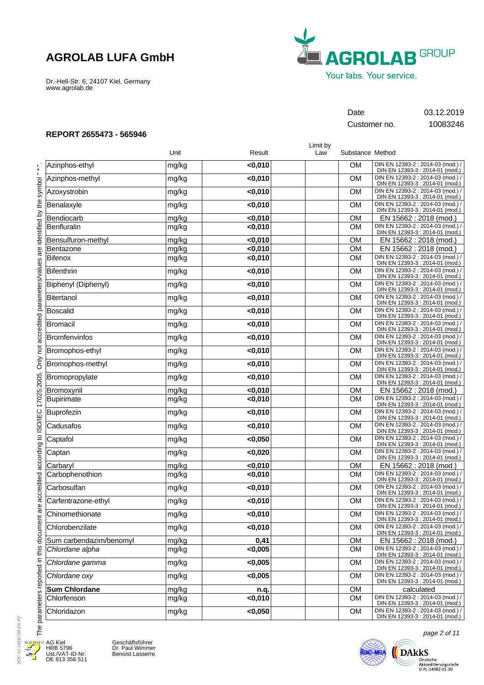Dr.-Hell-Str. 6, 24107 Kiel, Germany www.agrolab.de



## Date 03.12.2019

Customer no. 10083246

### **REPORT 2655473 - 565946**

|                                                                           |                         |       |         | Limit by |                  |                                                                      |
|---------------------------------------------------------------------------|-------------------------|-------|---------|----------|------------------|----------------------------------------------------------------------|
|                                                                           |                         | Unit  | Result  | Law      | Substance Method |                                                                      |
|                                                                           | Azinphos-ethyl          | mg/kg | $0,010$ |          | <b>OM</b>        | DIN EN 12393-2 : 2014-03 (mod.) /<br>DIN EN 12393-3 : 2014-01 (mod.) |
|                                                                           | Azinphos-methyl         | mg/kg | $0,010$ |          | <b>OM</b>        | DIN EN 12393-2 : 2014-03 (mod.) /<br>DIN EN 12393-3 : 2014-01 (mod.) |
|                                                                           | Azoxystrobin            | mg/kg | < 0,010 |          | <b>OM</b>        | DIN EN 12393-2 : 2014-03 (mod.) /<br>DIN EN 12393-3 : 2014-01 (mod.) |
|                                                                           | Benalaxyle              | mg/kg | $0,010$ |          | <b>OM</b>        | DIN EN 12393-2 : 2014-03 (mod.) /<br>DIN EN 12393-3 : 2014-01 (mod.) |
|                                                                           | Bendiocarb              | mg/kg | < 0,010 |          | <b>OM</b>        | EN 15662 : 2018 (mod.)                                               |
| Only not accredited parameters/values are identified by the symbol " * ". | Benfluralin             | mg/kg | < 0,010 |          | <b>OM</b>        | DIN EN 12393-2 : 2014-03 (mod.) /<br>DIN EN 12393-3 : 2014-01 (mod.) |
|                                                                           | Bensulfuron-methyl      | mg/kg | $0,010$ |          | <b>OM</b>        | EN 15662 : 2018 (mod.)                                               |
|                                                                           | Bentazone               | mg/kg | $0,010$ |          | <b>OM</b>        | EN 15662 : 2018 (mod.)                                               |
|                                                                           | Bifenox                 | mg/kg | < 0,010 |          | <b>OM</b>        | DIN EN 12393-2 : 2014-03 (mod.)<br>DIN EN 12393-3 : 2014-01 (mod.)   |
|                                                                           | Bifenthrin              | mg/kg | < 0,010 |          | <b>OM</b>        | DIN EN 12393-2 : 2014-03 (mod.)<br>DIN EN 12393-3 : 2014-01 (mod.)   |
|                                                                           | Biphenyl (Diphenyl)     | mg/kg | $0,010$ |          | <b>OM</b>        | DIN EN 12393-2 : 2014-03 (mod.) /<br>DIN EN 12393-3 : 2014-01 (mod.) |
|                                                                           | Bitertanol              | mg/kg | $0,010$ |          | <b>OM</b>        | DIN EN 12393-2 : 2014-03 (mod.) /<br>DIN EN 12393-3 : 2014-01 (mod.) |
|                                                                           | Boscalid                | mg/kg | $0,010$ |          | <b>OM</b>        | DIN EN 12393-2 : 2014-03 (mod.) /<br>DIN EN 12393-3 : 2014-01 (mod.) |
|                                                                           | Bromacil                | mg/kg | $0,010$ |          | <b>OM</b>        | DIN EN 12393-2 : 2014-03 (mod.) /<br>DIN EN 12393-3 : 2014-01 (mod.) |
|                                                                           | Bromfenvinfos           | mg/kg | $0,010$ |          | <b>OM</b>        | DIN EN 12393-2 : 2014-03 (mod.) /<br>DIN EN 12393-3 : 2014-01 (mod.) |
|                                                                           | Bromophos-ethyl         | mg/kg | $0,010$ |          | <b>OM</b>        | DIN EN 12393-2 : 2014-03 (mod.)<br>DIN EN 12393-3 : 2014-01 (mod.)   |
|                                                                           | Bromophos-methyl        | mg/kg | $0,010$ |          | <b>OM</b>        | DIN EN 12393-2 : 2014-03 (mod.)<br>DIN EN 12393-3 : 2014-01 (mod.)   |
|                                                                           | Bromopropylate          | mg/kg | $0,010$ |          | <b>OM</b>        | DIN EN 12393-2 : 2014-03 (mod.) /<br>DIN EN 12393-3 : 2014-01 (mod.) |
|                                                                           | Bromoxynil              | mg/kg | $0,010$ |          | <b>OM</b>        | EN 15662 : 2018 (mod.)                                               |
| accredited according to ISO/IEC 17025:2005.                               | Bupirimate              | mg/kg | $0,010$ |          | <b>OM</b>        | DIN EN 12393-2 : 2014-03 (mod.) /<br>DIN EN 12393-3 : 2014-01 (mod.) |
|                                                                           | <b>Buprofezin</b>       | mg/kg | $0,010$ |          | <b>OM</b>        | DIN EN 12393-2 : 2014-03 (mod.) /<br>DIN EN 12393-3 : 2014-01 (mod.) |
|                                                                           | Cadusafos               | mg/kg | < 0,010 |          | <b>OM</b>        | DIN EN 12393-2 : 2014-03 (mod.) /<br>DIN EN 12393-3 : 2014-01 (mod.) |
|                                                                           | Captafol                | mg/kg | < 0,050 |          | <b>OM</b>        | DIN EN 12393-2 : 2014-03 (mod.) /<br>DIN EN 12393-3 : 2014-01 (mod.) |
|                                                                           | Captan                  | mg/kg | < 0,020 |          | <b>OM</b>        | DIN EN 12393-2 : 2014-03 (mod.) /<br>DIN EN 12393-3 : 2014-01 (mod.) |
|                                                                           | Carbaryl                | mg/kg | < 0,010 |          | <b>OM</b>        | EN 15662 : 2018 (mod.)                                               |
|                                                                           | Carbophenothion         | mg/kg | $0,010$ |          | <b>OM</b>        | DIN EN 12393-2 : 2014-03 (mod.) /<br>DIN EN 12393-3 : 2014-01 (mod.) |
|                                                                           | Carbosulfan             | mg/kg | $0,010$ |          | <b>OM</b>        | DIN EN 12393-2 : 2014-03 (mod.) /<br>DIN EN 12393-3 : 2014-01 (mod.) |
| $\omega$                                                                  | Carfentrazone-ethyl     | mg/kg | $0,010$ |          | <b>OM</b>        | DIN EN 12393-2 : 2014-03 (mod.) /<br>DIN EN 12393-3 : 2014-01 (mod.) |
|                                                                           | Chinomethionate         | mg/kg | < 0,010 |          | <b>OM</b>        | DIN EN 12393-2 : 2014-03 (mod.) /<br>DIN EN 12393-3 : 2014-01 (mod.) |
|                                                                           | Chlorobenzilate         | mg/kg | $0,010$ |          | <b>OM</b>        | DIN EN 12393-2 : 2014-03 (mod.) /<br>DIN EN 12393-3 : 2014-01 (mod.) |
|                                                                           | Sum carbendazim/benomyl | mg/kg | 0,41    |          | <b>OM</b>        | EN 15662 : 2018 (mod.)                                               |
|                                                                           | Chlordane alpha         | mg/kg | < 0,005 |          | <b>OM</b>        | DIN EN 12393-2 : 2014-03 (mod.) /<br>DIN EN 12393-3 : 2014-01 (mod.) |
|                                                                           | Chlordane gamma         | mg/kg | < 0,005 |          | <b>OM</b>        | DIN EN 12393-2 : 2014-03 (mod.) /<br>DIN EN 12393-3 : 2014-01 (mod.) |
|                                                                           | Chlordane oxy           | mg/kg | < 0,005 |          | <b>OM</b>        | DIN EN 12393-2 : 2014-03 (mod.) /<br>DIN EN 12393-3 : 2014-01 (mod.) |
|                                                                           | <b>Sum Chlordane</b>    | mg/kg | n.q.    |          | <b>OM</b>        | calculated                                                           |
|                                                                           | Chlorfenson             | mg/kg | < 0,010 |          | <b>OM</b>        | DIN EN 12393-2 : 2014-03 (mod.) /<br>DIN EN 12393-3 : 2014-01 (mod.) |
|                                                                           | Chloridazon             | mg/kg | < 0,050 |          | <b>OM</b>        | DIN EN 12393-2 : 2014-03 (mod.) /<br>DIN EN 12393-3 : 2014-01 (mod.) |
| The parameters reported in this document an                               |                         |       |         |          |                  | page 2 of 11                                                         |

DOC-12-13515759-EN-P2 DOC-12-13515759-EN-P2 03.12.19 16:274

E

AG Kiel HRB 5796 Ust./VAT-ID-Nr: DE 813 356 511 Geschäftsführer Dr. Paul Wimmer Benoist Lasserre



Deutsche<br>Akkreditierungsstelle<br>D-PL-14082-01-00

**DARKS**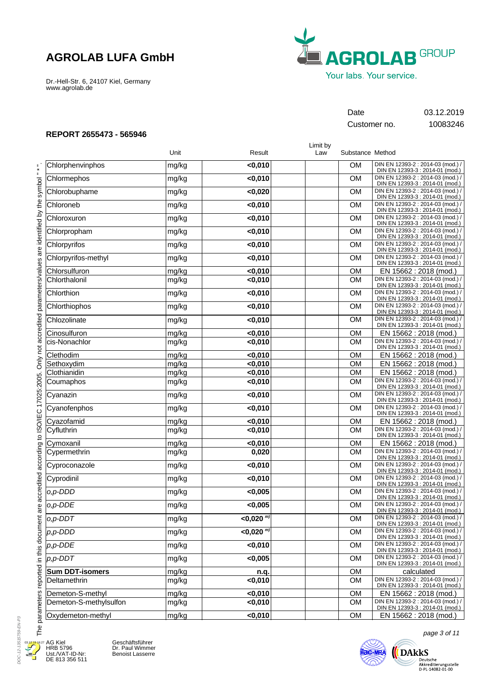Dr.-Hell-Str. 6, 24107 Kiel, Germany www.agrolab.de



## Date 03.12.2019

Customer no. 10083246

Limit by

### **REPORT 2655473 - 565946**

|                                                                                                                      |                        | Unit  | Result             | Law | Substance Method |                                                                      |
|----------------------------------------------------------------------------------------------------------------------|------------------------|-------|--------------------|-----|------------------|----------------------------------------------------------------------|
| $\frac{1}{\ast}$                                                                                                     | Chlorphenvinphos       | mg/kg | $0,010$            |     | <b>OM</b>        | DIN EN 12393-2 : 2014-03 (mod.) /<br>DIN EN 12393-3 : 2014-01 (mod.) |
|                                                                                                                      | Chlormephos            | mg/kg | $0,010$            |     | <b>OM</b>        | DIN EN 12393-2 : 2014-03 (mod.) /<br>DIN EN 12393-3 : 2014-01 (mod.) |
|                                                                                                                      | Chlorobuphame          | mg/kg | < 0,020            |     | <b>OM</b>        | DIN EN 12393-2 : 2014-03 (mod.) /<br>DIN EN 12393-3 : 2014-01 (mod.) |
|                                                                                                                      | Chloroneb              | mg/kg | $0,010$            |     | <b>OM</b>        | DIN EN 12393-2 : 2014-03 (mod.) /<br>DIN EN 12393-3 : 2014-01 (mod.) |
|                                                                                                                      | Chloroxuron            | mg/kg | $0,010$            |     | <b>OM</b>        | DIN EN 12393-2 : 2014-03 (mod.) /<br>DIN EN 12393-3 : 2014-01 (mod.) |
|                                                                                                                      | Chlorpropham           | mg/kg | $0,010$            |     | <b>OM</b>        | DIN EN 12393-2 : 2014-03 (mod.)<br>DIN EN 12393-3 : 2014-01 (mod.)   |
|                                                                                                                      | Chlorpyrifos           | mg/kg | $0,010$            |     | <b>OM</b>        | DIN EN 12393-2 : 2014-03 (mod.) /<br>DIN EN 12393-3 : 2014-01 (mod.) |
|                                                                                                                      | Chlorpyrifos-methyl    | mg/kg | $0,010$            |     | <b>OM</b>        | DIN EN 12393-2 : 2014-03 (mod.) /<br>DIN EN 12393-3 : 2014-01 (mod.) |
|                                                                                                                      | Chlorsulfuron          | mg/kg | $0,010$            |     | <b>OM</b>        | EN 15662 : 2018 (mod.)                                               |
|                                                                                                                      | Chlorthalonil          | mg/kg | $0,010$            |     | <b>OM</b>        | DIN EN 12393-2 : 2014-03 (mod.)<br>DIN EN 12393-3 : 2014-01 (mod.)   |
|                                                                                                                      | Chlorthion             | mg/kg | $0,010$            |     | <b>OM</b>        | DIN EN 12393-2 : 2014-03 (mod.)<br>DIN EN 12393-3 : 2014-01 (mod.)   |
|                                                                                                                      | Chlorthiophos          | mg/kg | $0,010$            |     | <b>OM</b>        | DIN EN 12393-2 : 2014-03 (mod.) /<br>DIN EN 12393-3 : 2014-01 (mod.) |
|                                                                                                                      | Chlozolinate           | mg/kg | $0,010$            |     | <b>OM</b>        | DIN EN 12393-2 : 2014-03 (mod.) /<br>DIN EN 12393-3 : 2014-01 (mod.) |
|                                                                                                                      | Cinosulfuron           | mg/kg | < 0,010            |     | <b>OM</b>        | EN 15662 : 2018 (mod.)                                               |
| are accredited according to ISO/IEC 17025:2005. Only not accredited parameters/values are identified by the symbol " | cis-Nonachlor          | mg/kg | < 0,010            |     | <b>OM</b>        | DIN EN 12393-2 : 2014-03 (mod.) /<br>DIN EN 12393-3 : 2014-01 (mod.) |
|                                                                                                                      | Clethodim              | mg/kg | $0,010$            |     | <b>OM</b>        | EN 15662 : 2018 (mod.)                                               |
|                                                                                                                      | Sethoxydim             | mg/kg | < 0,010            |     | <b>OM</b>        | EN 15662 : 2018 (mod.)                                               |
|                                                                                                                      | Clothianidin           | mg/kg | $0,010$            |     | <b>OM</b>        | EN 15662 : 2018 (mod.)                                               |
|                                                                                                                      | Coumaphos              | mg/kg | $0,010$            |     | <b>OM</b>        | DIN EN 12393-2 : 2014-03 (mod.) /<br>DIN EN 12393-3 : 2014-01 (mod.) |
|                                                                                                                      | Cyanazin               | mg/kg | $0,010$            |     | <b>OM</b>        | DIN EN 12393-2 : 2014-03 (mod.) /<br>DIN EN 12393-3 : 2014-01 (mod.) |
|                                                                                                                      | Cyanofenphos           | mg/kg | $0,010$            |     | <b>OM</b>        | DIN EN 12393-2 : 2014-03 (mod.) /<br>DIN EN 12393-3 : 2014-01 (mod.) |
|                                                                                                                      | Cyazofamid             | mg/kg | < 0,010            |     | <b>OM</b>        | EN 15662 : 2018 (mod.)                                               |
|                                                                                                                      | Cyfluthrin             | mg/kg | $0,010$            |     | <b>OM</b>        | DIN EN 12393-2 : 2014-03 (mod.) /                                    |
|                                                                                                                      |                        |       |                    |     |                  | DIN EN 12393-3 : 2014-01 (mod.)                                      |
|                                                                                                                      | Cymoxanil              | mg/kg | $0,010$            |     | <b>OM</b>        | EN 15662 : 2018 (mod.)                                               |
|                                                                                                                      | Cypermethrin           | mg/kg | 0,020              |     | <b>OM</b>        | DIN EN 12393-2 : 2014-03 (mod.) /<br>DIN EN 12393-3 : 2014-01 (mod.) |
|                                                                                                                      | Cyproconazole          | mg/kg | $0,010$            |     | <b>OM</b>        | DIN EN 12393-2 : 2014-03 (mod.) /<br>DIN EN 12393-3 : 2014-01 (mod.) |
|                                                                                                                      | Cyprodinil             | mg/kg | $0,010$            |     | <b>OM</b>        | DIN EN 12393-2 : 2014-03 (mod.) /<br>DIN EN 12393-3 : 2014-01 (mod.) |
|                                                                                                                      | o,p-DDD                | mg/kg | < 0,005            |     | <b>OM</b>        | DIN EN 12393-2 : 2014-03 (mod.) /<br>DIN EN 12393-3 : 2014-01 (mod.) |
|                                                                                                                      | o,p-DDE                | mg/kg | < 0,005            |     | <b>OM</b>        | DIN EN 12393-2 : 2014-03 (mod.) /<br>DIN EN 12393-3 : 2014-01 (mod.) |
|                                                                                                                      | $o, p$ -DDT            | mg/kg | $<$ 0,020 $^{m}$ ) |     | <b>OM</b>        | DIN EN 12393-2 : 2014-03 (mod.) /<br>DIN EN 12393-3 : 2014-01 (mod.) |
|                                                                                                                      | $p, p$ -DDD            | mg/kg | $<$ 0,020 $^{m}$ ) |     | <b>OM</b>        | DIN EN 12393-2 : 2014-03 (mod.) /<br>DIN EN 12393-3 : 2014-01 (mod.) |
|                                                                                                                      | p,p-DDE                | mg/kg | $0,010$            |     | <b>OM</b>        | DIN EN 12393-2 : 2014-03 (mod.) /<br>DIN EN 12393-3 : 2014-01 (mod.) |
|                                                                                                                      | $p, p$ -DDT            | mg/kg | < 0,005            |     | <b>OM</b>        | DIN EN 12393-2 : 2014-03 (mod.) /<br>DIN EN 12393-3 : 2014-01 (mod.) |
|                                                                                                                      | <b>Sum DDT-isomers</b> | mg/kg | n.q.               |     | <b>OM</b>        | calculated                                                           |
|                                                                                                                      | Deltamethrin           | mg/kg | < 0,010            |     | <b>OM</b>        | DIN EN 12393-2 : 2014-03 (mod.) /<br>DIN EN 12393-3 : 2014-01 (mod.) |
|                                                                                                                      | Demeton-S-methyl       | mg/kg | $0,010$            |     | <b>OM</b>        | EN 15662 : 2018 (mod.)                                               |
| parameters reported in this document                                                                                 | Demeton-S-methylsulfon | mg/kg | $0,010$            |     | <b>OM</b>        | DIN EN 12393-2 : 2014-03 (mod.) /<br>DIN EN 12393-3 : 2014-01 (mod.) |
|                                                                                                                      | Oxydemeton-methyl      | mg/kg | $0,010$            |     | <b>OM</b>        | EN 15662 : 2018 (mod.)                                               |
| The <sub>1</sub>                                                                                                     |                        |       |                    |     |                  | page 3 of 11                                                         |



AG Kiel HRB 5796 Ust./VAT-ID-Nr: DE 813 356 511 Geschäftsführer Dr. Paul Wimmer Benoist Lasserre



page 3 of 11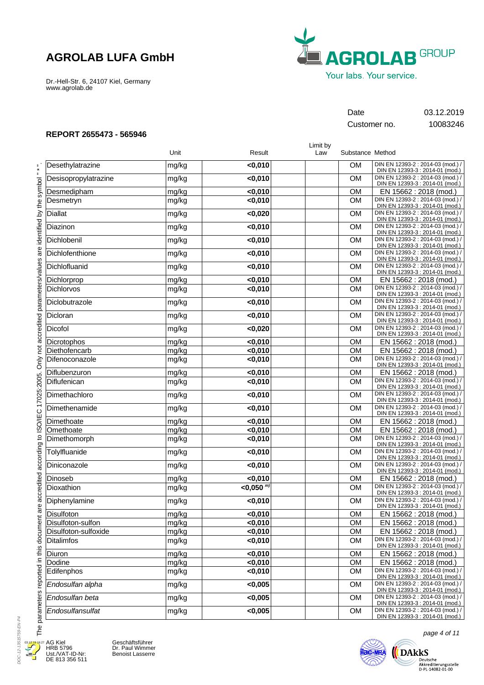Dr.-Hell-Str. 6, 24107 Kiel, Germany www.agrolab.de



## Date 03.12.2019

Customer no. 10083246

### **REPORT 2655473 - 565946**

Desethylatrazine Desisopropylatrazine Desmedipham **Desmetryn** Diallat Diazinon Dichlobenil **Dichlofenthione** Dichlofluanid Dichlorprop Dichlorvos Diclobutrazole Dicloran Dicofol **Dicrotophos** Diethofencarb Difenoconazole Diflubenzuron Diflufenican **Dimethachloro** Dimethenamide Dimethoate **Omethoate** Dimethomorph **Tolvlfluanide** Diniconazole Dinoseb **Dioxathion** Diphenylamine **Disulfoton** Disulfoton-sulfon Disulfoton-sulfoxide Ditalimfos Diuron Dodine **Edifenphos** *Endosulfan alpha Endosulfan beta Endosulfansulfat* mg/kg mg/kg mg/kg mg/kg mg/kg mg/kg mg/kg mg/kg mg/kg mg/kg mg/kg mg/kg mg/kg mg/kg mg/kg mg/kg mg/kg mg/kg mg/kg mg/kg mg/kg mg/kg mg/kg mg/kg mg/kg mg/kg mg/kg mg/kg mg/kg mg/kg mg/kg mg/kg mg/kg mg/kg mg/kg mg/kg mg/kg mg/kg mg/kg DIN EN 12393-2 : 2014-03 (mod.) / DIN EN 12393-3 : 2014-01 (mod.) DIN EN 12393-2 : 2014-03 (mod.) / DIN EN 12393-3 : 2014-01 (mod.) EN 15662 : 2018 (mod.) DIN EN 12393-2 : 2014-03 (mod.) / DIN EN 12393-3 : 2014-01 (mod.) DIN EN 12393-2 : 2014-03 (mod.) / DIN EN 12393-3 : 2014-01 (mod.) DIN EN 12393-2 : 2014-03 (mod.) / DIN EN 12393-3 : 2014-01 (mod.) DIN EN 12393-2 : 2014-03 (mod.) / DIN EN 12393-3 : 2014-01 (mod.) DIN EN 12393-2 : 2014-03 (mod.) / DIN EN 12393-3 : 2014-01 (mod.) DIN EN 12393-2 : 2014-03 (mod.) / DIN EN 12393-3 : 2014-01 (mod.) EN 15662 : 2018 (mod.) DIN EN 12393-2 : 2014-03 (mod.) / DIN EN 12393-3 : 2014-01 (mod.) DIN EN 12393-2 : 2014-03 (mod.) / DIN EN 12393-3 : 2014-01 (mod.) DIN EN 12393-2 : 2014-03 (mod.) / DIN EN 12393-3 : 2014-01 (mod.) DIN EN 12393-2 : 2014-03 (mod.) / DIN EN 12393-3 : 2014-01 (mod.) EN 15662 : 2018 (mod.) EN 15662 : 2018 (mod.) DIN EN 12393-2 : 2014-03 (mod.) / DIN EN 12393-3 : 2014-01 (mod.) EN 15662 : 2018 (mod.) DIN EN 12393-2 : 2014-03 (mod.) / DIN EN 12393-3 : 2014-01 (mod.) DIN EN 12393-2 : 2014-03 (mod.) / DIN EN 12393-3 : 2014-01 (mod.) DIN EN 12393-2 : 2014-03 (mod.) / DIN EN 12393-3 : 2014-01 (mod.) EN 15662 : 2018 (mod.) EN 15662 : 2018 (mod.) DIN EN 12393-2 : 2014-03 (mod.) / DIN EN 12393-3 : 2014-01 (mod.) DIN EN 12393-2 : 2014-03 (mod.) / DIN EN 12393-3 : 2014-01 (mod.) DIN EN 12393-2 : 2014-03 (mod.) / DIN EN 12393-3 : 2014-01 (mod.) EN 15662 : 2018 (mod.) DIN EN 12393-2 : 2014-03 (mod.) / DIN EN 12393-3 : 2014-01 (mod.) DIN EN 12393-2 : 2014-03 (mod.) / DIN EN 12393-3 : 2014-01 (mod.) EN 15662 : 2018 (mod.) EN 15662 : 2018 (mod.) EN 15662 : 2018 (mod.) DIN EN 12393-2 : 2014-03 (mod.) / DIN EN 12393-3 : 2014-01 (mod.) EN 15662 : 2018 (mod.) EN 15662 : 2018 (mod.) DIN EN 12393-2 : 2014-03 (mod.) / DIN EN 12393-3 : 2014-01 (mod.) DIN EN 12393-2 : 2014-03 (mod.) / DIN EN 12393-3 : 2014-01 (mod.) DIN EN 12393-2 : 2014-03 (mod.) / DIN EN 12393-3 : 2014-01 (mod.) DIN EN 12393-2 : 2014-03 (mod.) / DIN EN 12393-3 : 2014-01 (mod.) **<0,010 <0,010 <0,010 <0,010 <0,020 <0,010 <0,010 <0,010 <0,010 <0,010 <0,010 <0,010 <0,010 <0,020 <0,010 <0,010 <0,010 <0,010 <0,010 <0,010 <0,010 <0,010 <0,010 <0,010 <0,010 <0,010 <0,010 <0,050**  *m)* **<0,010 <0,010 <0,010 <0,010 <0,010 <0,010 <0,010 <0,010 <0,005 <0,005 <0,005** OM OM **OM** OM OM OM OM OM OM OM OM OM OM OM OM OM OM OM OM OM OM OM **OM** OM OM OM OM  $\overline{OM}$ OM OM OM OM OM OM **OM** OM OM OM OM Limit by Unit **Nesult** Result **Law** Substance Method

AG Kiel HRB 5796 Ust./VAT-ID-Nr: DE 813 356 511 03.12.19 16:27

DOC-12-13515759-EN-P4

DOC-12-13515759-FN-P4

Geschäftsführer Dr. Paul Wimmer Benoist Lasserre



page 4 of 11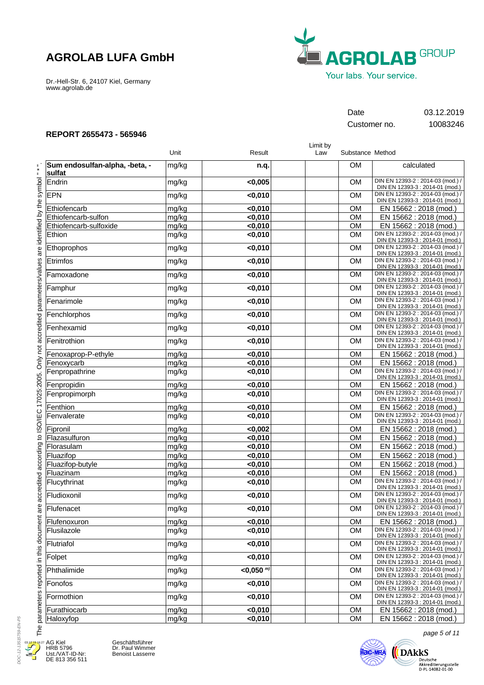Dr.-Hell-Str. 6, 24107 Kiel, Germany www.agrolab.de



Customer no. 10083246

Date 03.12.2019

### **REPORT 2655473 - 565946**

|                                          |       |                  | Limit by |                  |                                                                      |
|------------------------------------------|-------|------------------|----------|------------------|----------------------------------------------------------------------|
|                                          | Unit  | Result           | Law      | Substance Method |                                                                      |
| Sum endosulfan-alpha, -beta, -<br>sulfat | mg/kg | n.q.             |          | <b>OM</b>        | calculated                                                           |
| Endrin                                   | mg/kg | < 0,005          |          | <b>OM</b>        | DIN EN 12393-2 : 2014-03 (mod.) /<br>DIN EN 12393-3 : 2014-01 (mod.) |
| <b>EPN</b>                               | mg/kg | $0,010$          |          | <b>OM</b>        | DIN EN 12393-2 : 2014-03 (mod.) /<br>DIN EN 12393-3 : 2014-01 (mod.) |
| Ethiofencarb                             | mg/kg | $0,010$          |          | <b>OM</b>        | EN 15662 : 2018 (mod.)                                               |
| Ethiofencarb-sulfon                      | mg/kg | < 0,010          |          | <b>OM</b>        | EN 15662 : 2018 (mod.)                                               |
| Ethiofencarb-sulfoxide                   | mg/kg | $0,010$          |          | <b>OM</b>        | EN 15662: 2018 (mod.)                                                |
| Ethion                                   | mg/kg | $0,010$          |          | <b>OM</b>        | DIN EN 12393-2 : 2014-03 (mod.) /<br>DIN EN 12393-3 : 2014-01 (mod.) |
| Ethoprophos                              | mg/kg | $0,010$          |          | <b>OM</b>        | DIN EN 12393-2 : 2014-03 (mod.) /<br>DIN EN 12393-3 : 2014-01 (mod.) |
| Etrimfos                                 | mg/kg | $0,010$          |          | <b>OM</b>        | DIN EN 12393-2 : 2014-03 (mod.) /<br>DIN EN 12393-3 : 2014-01 (mod.) |
| Famoxadone                               | mg/kg | $0,010$          |          | <b>OM</b>        | DIN EN 12393-2 : 2014-03 (mod.) /<br>DIN EN 12393-3 : 2014-01 (mod.) |
| Famphur                                  | mg/kg | $0,010$          |          | <b>OM</b>        | DIN EN 12393-2 : 2014-03 (mod.) /<br>DIN EN 12393-3 : 2014-01 (mod.) |
| Fenarimole                               | mg/kg | < 0,010          |          | <b>OM</b>        | DIN EN 12393-2 : 2014-03 (mod.) /<br>DIN EN 12393-3 : 2014-01 (mod.) |
| Fenchlorphos                             | mg/kg | $0,010$          |          | <b>OM</b>        | DIN EN 12393-2 : 2014-03 (mod.) /<br>DIN EN 12393-3 : 2014-01 (mod.) |
| Fenhexamid                               | mg/kg | $0,010$          |          | <b>OM</b>        | DIN EN 12393-2 : 2014-03 (mod.) /<br>DIN EN 12393-3 : 2014-01 (mod.) |
| Fenitrothion                             | mg/kg | $0,010$          |          | <b>OM</b>        | DIN EN 12393-2 : 2014-03 (mod.) /<br>DIN EN 12393-3 : 2014-01 (mod.) |
| Fenoxaprop-P-ethyle                      | mg/kg | $0,010$          |          | <b>OM</b>        | EN 15662 : 2018 (mod.)                                               |
| Fenoxycarb                               | mg/kg | $0,010$          |          | <b>OM</b>        | EN 15662 : 2018 (mod.)                                               |
| Fenpropathrine                           | mg/kg | $0,010$          |          | <b>OM</b>        | DIN EN 12393-2 : 2014-03 (mod.) /<br>DIN EN 12393-3 : 2014-01 (mod.) |
| Fenpropidin                              | mg/kg | $0,010$          |          | <b>OM</b>        | EN 15662 : 2018 (mod.)                                               |
| Fenpropimorph                            | mg/kg | $0,010$          |          | <b>OM</b>        | DIN EN 12393-2 : 2014-03 (mod.) /<br>DIN EN 12393-3 : 2014-01 (mod.) |
| Fenthion                                 | mg/kg | $0,010$          |          | <b>OM</b>        | EN 15662 : 2018 (mod.)                                               |
| Fenvalerate                              | mg/kg | < 0,010          |          | <b>OM</b>        | DIN EN 12393-2 : 2014-03 (mod.) /<br>DIN EN 12393-3 : 2014-01 (mod.) |
| Fipronil                                 | mg/kg | < 0,002          |          | <b>OM</b>        | EN 15662 : 2018 (mod.)                                               |
| Flazasulfuron                            | mg/kg | $0,010$          |          | <b>OM</b>        | EN 15662 : 2018 (mod.)                                               |
| Florasulam                               | mg/kg | $0,010$          |          | <b>OM</b>        | EN 15662 : 2018 (mod.)                                               |
| Fluazifop                                | mg/kg | $0,010$          |          | <b>OM</b>        | EN 15662 : 2018 (mod.)                                               |
| Fluazifop-butyle                         | mg/kg | $0,010$          |          | <b>OM</b>        | EN 15662 : 2018 (mod.)                                               |
| Fluazinam                                | mg/kg | $0,010$          |          | OM               | EN 15662 : 2018 (mod.)<br>DIN EN 12393-2 : 2014-03 (mod.) /          |
| Flucythrinat                             | mg/kg | $0,010$          |          | <b>OM</b>        | DIN EN 12393-3 : 2014-01 (mod.)                                      |
| Fludioxonil                              | mg/kg | $0,010$          |          | <b>OM</b>        | DIN EN 12393-2 : 2014-03 (mod.) /<br>DIN EN 12393-3 : 2014-01 (mod.) |
| Flufenacet                               | mg/kg | <0,010           |          | <b>OM</b>        | DIN EN 12393-2 : 2014-03 (mod.) /<br>DIN EN 12393-3 : 2014-01 (mod.) |
| Flufenoxuron                             | mg/kg | $0,010$          |          | <b>OM</b>        | EN 15662 : 2018 (mod.)                                               |
| Flusilazole                              | mg/kg | < 0,010          |          | <b>OM</b>        | DIN EN 12393-2 : 2014-03 (mod.) /<br>DIN EN 12393-3 : 2014-01 (mod.) |
| Flutriafol                               | mg/kg | < 0,010          |          | <b>OM</b>        | DIN EN 12393-2 : 2014-03 (mod.) /<br>DIN EN 12393-3 : 2014-01 (mod.) |
| Folpet                                   | mg/kg | $0,010$          |          | <b>OM</b>        | DIN EN 12393-2 : 2014-03 (mod.) /<br>DIN EN 12393-3 : 2014-01 (mod.) |
| Phthalimide                              | mg/kg | $<$ 0.050 $^{m}$ |          | <b>OM</b>        | DIN EN 12393-2 : 2014-03 (mod.) /<br>DIN EN 12393-3 : 2014-01 (mod.) |
| Fonofos                                  | mg/kg | < 0,010          |          | <b>OM</b>        | DIN EN 12393-2 : 2014-03 (mod.) /<br>DIN EN 12393-3 : 2014-01 (mod.) |
| Formothion                               | mg/kg | $0,010$          |          | <b>OM</b>        | DIN EN 12393-2 : 2014-03 (mod.) /<br>DIN EN 12393-3 : 2014-01 (mod.) |
| Furathiocarb                             | mg/kg | < 0,010          |          | OM               | EN 15662 : 2018 (mod.)                                               |
| Haloxyfop                                | mg/kg | <0,010           |          | <b>OM</b>        | EN 15662 : 2018 (mod.)                                               |

DOC-12-13515759-EN-P5 DOC-12-13515759-EN-P5 03.12.19 16 Д

E

AG Kiel HRB 5796 Ust./VAT-ID-Nr: DE 813 356 511



page 5 of 11 **Ilac-MRA** 

 $\bigoplus\limits_{\text{Deutsche } \atop \text{Akkeediterungsstelle } \atop \text{D-PL-14082-01-00}}$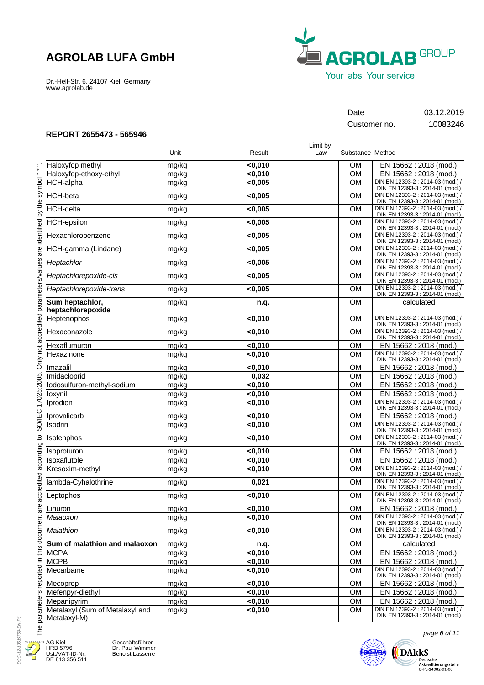Dr.-Hell-Str. 6, 24107 Kiel, Germany www.agrolab.de



## Date 03.12.2019

Customer no. 10083246

Limit by

EN 15662 : 2018 (mod.) EN 15662 : 2018 (mod.) DIN EN 12393-2 : 2014-03 (mod.) / DIN EN 12393-3 : 2014-01 (mod.) DIN EN 12393-2 : 2014-03 (mod.) / DIN EN 12393-3 : 2014-01 (mod.) DIN EN 12393-2 : 2014-03 (mod.) / DIN EN 12393-3 : 2014-01 (mod.) DIN EN 12393-2 : 2014-03 (mod.) / DIN EN 12393-3 : 2014-01 (mod.) DIN EN 12393-2 : 2014-03 (mod.) / DIN EN 12393-3 : 2014-01 (mod.) DIN EN 12393-2 : 2014-03 (mod.) / DIN EN 12393-3 : 2014-01 (mod.) DIN EN 12393-2 : 2014-03 (mod.) / DIN EN 12393-3 : 2014-01 (mod.) DIN EN 12393-2 : 2014-03 (mod.) / DIN EN 12393-3 : 2014-01 (mod.) DIN EN 12393-2 : 2014-03 (mod.) / DIN EN 12393-3 : 2014-01 (mod.) calculated DIN EN 12393-2 : 2014-03 (mod.) / DIN EN 12393-3 : 2014-01 (mod.) DIN EN 12393-2 : 2014-03 (mod.) / DIN EN 12393-3 : 2014-01 (mod.) EN 15662 : 2018 (mod.) DIN EN 12393-2 : 2014-03 (mod.) / DIN EN 12393-3 : 2014-01 (mod.) EN 15662 : 2018 (mod.) EN 15662 : 2018 (mod.) EN 15662 : 2018 (mod.) EN 15662 : 2018 (mod.) DIN EN 12393-2 : 2014-03 (mod.) / DIN EN 12393-3 : 2014-01 (mod.) EN 15662 : 2018 (mod.) DIN EN 12393-2 : 2014-03 (mod.) / DIN EN 12393-3 : 2014-01 (mod.) DIN EN 12393-2 : 2014-03 (mod.) / DIN EN 12393-3 : 2014-01 (mod.) EN 15662 : 2018 (mod.) EN 15662 : 2018 (mod.) DIN EN 12393-2 : 2014-03 (mod.) / DIN EN 12393-3 : 2014-01 (mod.) DIN EN 12393-2 : 2014-03 (mod.) / DIN EN 12393-3 : 2014-01 (mod.) DIN EN 12393-2 : 2014-03 (mod.) / DIN EN 12393-3 : 2014-01 (mod.) EN 15662 : 2018 (mod.) DIN EN 12393-2 : 2014-03 (mod.) / DIN EN 12393-3 : 2014-01 (mod.) DIN EN 12393-2 : 2014-03 (mod.) / DIN EN 12393-3 : 2014-01 (mod.) calculated EN 15662 : 2018 (mod.) EN 15662 : 2018 (mod.) DIN EN 12393-2 : 2014-03 (mod.) / DIN EN 12393-3 : 2014-01 (mod.) EN 15662 : 2018 (mod.) EN 15662 : 2018 (mod.) EN 15662 : 2018 (mod.) DIN EN 12393-2 : 2014-03 (mod.) / DIN EN 12393-3 : 2014-01 (mod.)

### **REPORT 2655473 - 565946**

|                                                                    |                                                 | Unit  | Result  | ∟ասու ⊳y<br>Law | Substance Method |                                |
|--------------------------------------------------------------------|-------------------------------------------------|-------|---------|-----------------|------------------|--------------------------------|
|                                                                    | Haloxyfop methyl                                | mg/kg | $0,010$ |                 | <b>OM</b>        | EN <sub>1</sub>                |
|                                                                    | Haloxyfop-ethoxy-ethyl                          | mg/kg | $0,010$ |                 | OM               | EN <sub>1</sub>                |
|                                                                    | HCH-alpha                                       | mg/kg | <0,005  |                 | <b>OM</b>        | DIN EN<br>DIN EN               |
|                                                                    | HCH-beta                                        | mg/kg | < 0,005 |                 | <b>OM</b>        | DIN EN<br>DIN EN               |
|                                                                    | HCH-delta                                       | mg/kg | < 0,005 |                 | <b>OM</b>        | <b>DIN EN</b><br>DIN EN        |
|                                                                    | <b>HCH-epsilon</b>                              | mg/kg | < 0,005 |                 | <b>OM</b>        | DIN EN<br>DIN EN               |
|                                                                    | Hexachlorobenzene                               | mg/kg | < 0,005 |                 | <b>OM</b>        | <b>DIN EN</b><br>DIN EN        |
|                                                                    | HCH-gamma (Lindane)                             | mg/kg | < 0,005 |                 | <b>OM</b>        | <b>DIN EN</b><br>DIN EN        |
| Only not accredited parameters/values are identified by the symbol | Heptachlor                                      | mg/kg | < 0,005 |                 | <b>OM</b>        | DIN EN<br><b>DIN EN</b>        |
|                                                                    | Heptachlorepoxide-cis                           | mg/kg | < 0,005 |                 | <b>OM</b>        | DIN EN<br>DIN EN               |
|                                                                    | Heptachlorepoxide-trans                         | mg/kg | < 0,005 |                 | <b>OM</b>        | DIN EN<br>DIN EN               |
|                                                                    | Sum heptachlor,<br>heptachlorepoxide            | mg/kg | n.q.    |                 | OM               |                                |
|                                                                    | Heptenophos                                     | mg/kg | $0,010$ |                 | <b>OM</b>        | <b>DIN EN</b><br>DIN EN        |
|                                                                    | Hexaconazole                                    | mg/kg | $0,010$ |                 | <b>OM</b>        | DIN EN<br>DIN EN               |
|                                                                    | Hexaflumuron                                    | mg/kg | $0,010$ |                 | <b>OM</b>        | $EN_1$                         |
|                                                                    | Hexazinone                                      | mg/kg | $0,010$ |                 | <b>OM</b>        | <b>DIN EN</b><br>DIN EN        |
|                                                                    | Imazalil                                        | mg/kg | $0,010$ |                 | <b>OM</b>        | EN <sub>1</sub>                |
|                                                                    | Imidacloprid                                    | mg/kg | 0,032   |                 | <b>OM</b>        | EN <sub>1</sub>                |
|                                                                    | lodosulfuron-methyl-sodium                      | mg/kg | $0,010$ |                 | <b>OM</b>        | EN <sub>1</sub>                |
|                                                                    | loxynil                                         | mg/kg | $0,010$ |                 | <b>OM</b>        | EN <sub>1</sub>                |
| 17025:2005.                                                        | Iprodion                                        | mg/kg | $0,010$ |                 | <b>OM</b>        | <b>DIN EN</b><br><b>DIN EN</b> |
|                                                                    | Iprovalicarb                                    | mg/kg | $0,010$ |                 | <b>OM</b>        | EN <sub>1</sub>                |
|                                                                    | Isodrin                                         | mg/kg | $0,010$ |                 | <b>OM</b>        | <b>DIN EN</b><br>DIN EN        |
|                                                                    | Isofenphos                                      | mg/kg | $0,010$ |                 | <b>OM</b>        | DIN EN<br><b>DIN EN</b>        |
|                                                                    | Isoproturon                                     | mg/kg | $0,010$ |                 | <b>OM</b>        | EN <sub>1</sub>                |
|                                                                    | Isoxaflutole                                    | mg/kg | $0,010$ |                 | <b>OM</b>        | EN <sub>1</sub>                |
|                                                                    | Kresoxim-methyl                                 | mg/kg | < 0,010 |                 | <b>OM</b>        | DIN EN<br>DIN EN               |
|                                                                    | lambda-Cyhalothrine                             | mg/kg | 0,021   |                 | <b>OM</b>        | DIN EN<br>DIN EN               |
| accredited according to ISO/IEC                                    | Leptophos                                       | mg/kg | <0,010  |                 | <b>OM</b>        | DIN EN<br>DIN EN               |
| are                                                                | Linuron                                         | mg/kg | $0,010$ |                 | <b>OM</b>        | EN <sub>1</sub>                |
|                                                                    | Malaoxon                                        | mg/kg | $0,010$ |                 | <b>OM</b>        | DIN EN<br>DIN EN               |
| The parameters reported in this document                           | Malathion                                       | mg/kg | < 0,010 |                 | <b>OM</b>        | <b>DIN EN</b><br>DIN EN        |
|                                                                    | Sum of malathion and malaoxon                   | mg/kg | n.q.    |                 | OM               |                                |
|                                                                    | <b>MCPA</b>                                     | mg/kg | <0,010  |                 | OM               | EN <sub>1</sub>                |
|                                                                    | <b>MCPB</b>                                     | mg/kg | $0,010$ |                 | OM               | EN <sub>1</sub>                |
|                                                                    | Mecarbame                                       | mg/kg | $0,010$ |                 | <b>OM</b>        | DIN EN<br>DIN EN               |
|                                                                    | Mecoprop                                        | mg/kg | $0,010$ |                 | OM               | EN <sub>1</sub>                |
|                                                                    | Mefenpyr-diethyl                                | mg/kg | < 0,010 |                 | OM               | EN <sub>1</sub>                |
|                                                                    | Mepanipyrim                                     | mg/kg | <0,010  |                 | OM               | EN <sub>1</sub>                |
|                                                                    | Metalaxyl (Sum of Metalaxyl and<br>Metalaxyl-M) | mg/kg | $0,010$ |                 | <b>OM</b>        | DIN EN<br>DIN EN               |



AG Kiel HRB 5796 Ust./VAT-ID-Nr: DE 813 356 511 Geschäftsführer Dr. Paul Wimmer Benoist Lasserre



page 6 of 11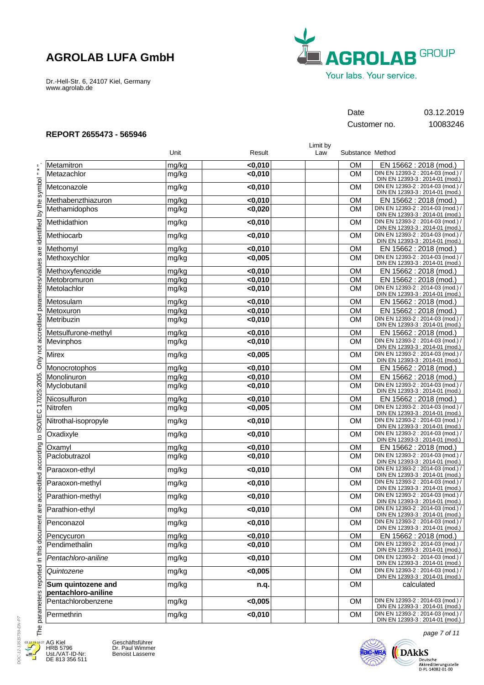Dr.-Hell-Str. 6, 24107 Kiel, Germany www.agrolab.de



Customer no. 10083246

Date 03.12.2019

### **REPORT 2655473 - 565946**

|                                           |       |                    | Limit by |                  |                                                                      |
|-------------------------------------------|-------|--------------------|----------|------------------|----------------------------------------------------------------------|
|                                           | Unit  | Result             | Law      | Substance Method |                                                                      |
| Metamitron                                | mg/kg | < 0,010            |          | <b>OM</b>        | EN 15662 : 2018 (mod.)                                               |
| Metazachlor                               | mg/kg | < 0,010            |          | <b>OM</b>        | DIN EN 12393-2 : 2014-03 (mod.) /<br>DIN EN 12393-3 : 2014-01 (mod.) |
| Metconazole                               | mg/kg | $0,010$            |          | <b>OM</b>        | DIN EN 12393-2 : 2014-03 (mod.) /<br>DIN EN 12393-3 : 2014-01 (mod.) |
| Methabenzthiazuron                        | mg/kg | $0,010$            |          | <b>OM</b>        | EN 15662 : 2018 (mod.)                                               |
| Methamidophos                             | mg/kg | < 0,020            |          | <b>OM</b>        | DIN EN 12393-2 : 2014-03 (mod.) /<br>DIN EN 12393-3 : 2014-01 (mod.) |
| Methidathion                              | mg/kg | $0,010$            |          | <b>OM</b>        | DIN EN 12393-2 : 2014-03 (mod.) /<br>DIN EN 12393-3 : 2014-01 (mod.) |
| Methiocarb                                | mg/kg | $0,010$            |          | <b>OM</b>        | DIN EN 12393-2 : 2014-03 (mod.) /<br>DIN EN 12393-3 : 2014-01 (mod.) |
| Methomyl                                  | mg/kg | $0,010$            |          | <b>OM</b>        | EN 15662 : 2018 (mod.)                                               |
| Methoxychlor                              | mg/kg | < 0,005            |          | <b>OM</b>        | DIN EN 12393-2 : 2014-03 (mod.) /<br>DIN EN 12393-3 : 2014-01 (mod.) |
| Methoxyfenozide                           | mg/kg | < 0,010            |          | <b>OM</b>        | EN 15662 : 2018 (mod.)                                               |
| Metobromuron                              | mg/kg | < 0,010            |          | <b>OM</b>        | EN 15662 : 2018 (mod.)                                               |
| Metolachlor                               | mg/kg | $0,010$            |          | <b>OM</b>        | DIN EN 12393-2 : 2014-03 (mod.) /<br>DIN EN 12393-3 : 2014-01 (mod.) |
| Metosulam                                 | mg/kg | < 0,010            |          | <b>OM</b>        | EN 15662: 2018 (mod.)                                                |
| Metoxuron                                 | mg/kg | < 0,010            |          | <b>OM</b>        | EN 15662 : 2018 (mod.)                                               |
| Metribuzin                                | mg/kg | < 0.010            |          | <b>OM</b>        | DIN EN 12393-2 : 2014-03 (mod.) /<br>DIN EN 12393-3 : 2014-01 (mod.) |
| Metsulfurone-methyl                       | mg/kg | < 0,010            |          | <b>OM</b>        | EN 15662 : 2018 (mod.)                                               |
| Mevinphos                                 | mg/kg | $0,010$            |          | <b>OM</b>        | DIN EN 12393-2 : 2014-03 (mod.) /<br>DIN EN 12393-3 : 2014-01 (mod.) |
| <b>Mirex</b>                              | mg/kg | < 0,005            |          | <b>OM</b>        | DIN EN 12393-2 : 2014-03 (mod.) /<br>DIN EN 12393-3 : 2014-01 (mod.) |
| Monocrotophos                             | mg/kg | < 0.010            |          | <b>OM</b>        | EN 15662 : 2018 (mod.)                                               |
| Monolinuron                               | mg/kg | < 0,010            |          | <b>OM</b>        | EN 15662 : 2018 (mod.)                                               |
| Myclobutanil                              | mg/kg | $0,010$            |          | <b>OM</b>        | DIN EN 12393-2 : 2014-03 (mod.) /<br>DIN EN 12393-3 : 2014-01 (mod.) |
| Nicosulfuron                              | mg/kg | < 0,010            |          | <b>OM</b>        | EN 15662 : 2018 (mod.)                                               |
| Nitrofen                                  | mg/kg | < 0,005            |          | <b>OM</b>        | DIN EN 12393-2 : 2014-03 (mod.) /<br>DIN EN 12393-3 : 2014-01 (mod.) |
| Nitrothal-isopropyle                      | mg/kg | $0,010$            |          | <b>OM</b>        | DIN EN 12393-2 : 2014-03 (mod.) /<br>DIN EN 12393-3 : 2014-01 (mod.) |
| Oxadixyle                                 | mg/kg | $0,010$            |          | <b>OM</b>        | DIN EN 12393-2 : 2014-03 (mod.) /<br>DIN EN 12393-3 : 2014-01 (mod.) |
| Oxamyl                                    | mg/kg | $\overline{0,010}$ |          | <b>OM</b>        | EN 15662 : 2018 (mod.)                                               |
| Paclobutrazol                             | mg/kg | $0,010$            |          | <b>OM</b>        | DIN EN 12393-2 : 2014-03 (mod.) /<br>DIN EN 12393-3 : 2014-01 (mod.) |
| Paraoxon-ethyl                            | mg/kg | $0,010$            |          | <b>OM</b>        | DIN EN 12393-2 : 2014-03 (mod.) /<br>DIN EN 12393-3 : 2014-01 (mod.) |
| Paraoxon-methyl                           | mg/kg | $0,010$            |          | <b>OM</b>        | DIN EN 12393-2 : 2014-03 (mod.) /<br>DIN EN 12393-3 : 2014-01 (mod.) |
| Parathion-methyl                          | mg/kg | < 0.010            |          | <b>OM</b>        | DIN EN 12393-2 : 2014-03 (mod.) /<br>DIN EN 12393-3 : 2014-01 (mod.) |
| Parathion-ethyl                           | mg/kg | <0,010             |          | <b>OM</b>        | DIN EN 12393-2 : 2014-03 (mod.) /<br>DIN EN 12393-3 : 2014-01 (mod.) |
| Penconazol                                | mg/kg | $0,010$            |          | <b>OM</b>        | DIN EN 12393-2 : 2014-03 (mod.) /<br>DIN EN 12393-3 : 2014-01 (mod.) |
| Pencycuron                                | mg/kg | < 0,010            |          | <b>OM</b>        | EN 15662 : 2018 (mod.)                                               |
| Pendimethalin                             | mg/kg | < 0,010            |          | <b>OM</b>        | DIN EN 12393-2 : 2014-03 (mod.) /<br>DIN EN 12393-3 : 2014-01 (mod.) |
| Pentachloro-aniline                       | mg/kg | < 0,010            |          | <b>OM</b>        | DIN EN 12393-2 : 2014-03 (mod.) /<br>DIN EN 12393-3 : 2014-01 (mod.) |
| Quintozene                                | mg/kg | < 0,005            |          | <b>OM</b>        | DIN EN 12393-2 : 2014-03 (mod.) /<br>DIN EN 12393-3 : 2014-01 (mod.) |
| Sum quintozene and<br>pentachloro-aniline | mg/kg | n.q.               |          | <b>OM</b>        | calculated                                                           |
| Pentachlorobenzene                        | mg/kg | < 0,005            |          | <b>OM</b>        | DIN EN 12393-2 : 2014-03 (mod.) /<br>DIN EN 12393-3 : 2014-01 (mod.) |
| Permethrin                                | mg/kg | <0,010             |          | <b>OM</b>        | DIN EN 12393-2 : 2014-03 (mod.) /<br>DIN EN 12393-3 : 2014-01 (mod.) |



Thep

E

AG Kiel HRB 5796 Ust./VAT-ID-Nr: DE 813 356 511

Geschäftsführer Dr. Paul Wimmer Benoist Lasserre



page 7 of 11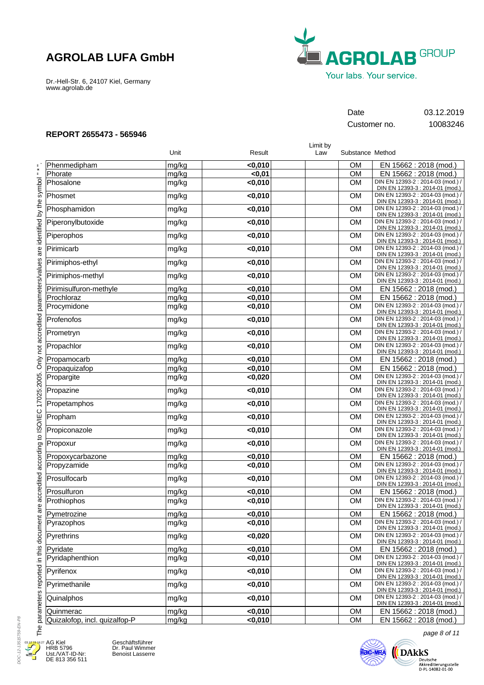Dr.-Hell-Str. 6, 24107 Kiel, Germany www.agrolab.de



## Date 03.12.2019

Customer no. 10083246

### **REPORT 2655473 - 565946**

Phenmedipham **Phorate Phosalone** Phosmet Phosphamidon Piperonylbutoxide Piperophos Pirimicarb Pirimiphos-ethyl Pirimiphos-methyl Pirimisulfuron-methyle **Prochloraz Procymidone** Profenofos Prometryn Propachlor Propamocarb Propaquizafop Propargite Propazine Propetamphos Propham Propiconazole Propoxur Propoxycarbazone Propyzamide Prosulfocarb Prosulfuron Prothiophos Pymetrozine Pyrazophos **Pyrethrins** Pyridate Pyridaphenthion Pyrifenox Pyrimethanile **Quinalphos Quinmerac** Quizalofop, incl. quizalfop-P mg/kg mg/kg mg/kg mg/kg mg/kg mg/kg mg/kg mg/kg mg/kg mg/kg mg/kg mg/kg mg/kg mg/kg mg/kg mg/kg mg/kg mg/kg mg/kg mg/kg mg/kg mg/kg mg/kg mg/kg mg/kg mg/kg mg/kg mg/kg mg/kg mg/kg mg/kg mg/kg mg/kg mg/kg mg/kg mg/kg mg/kg mg/kg mg/kg EN 15662 : 2018 (mod.) EN 15662 : 2018 (mod.) DIN EN 12393-2 : 2014-03 (mod.) / DIN EN 12393-3 : 2014-01 (mod.) DIN EN 12393-2 : 2014-03 (mod.) / DIN EN 12393-3 : 2014-01 (mod.) DIN EN 12393-2 : 2014-03 (mod.) / DIN EN 12393-3 : 2014-01 (mod.) DIN EN 12393-2 : 2014-03 (mod.) / DIN EN 12393-3 : 2014-01 (mod.) DIN EN 12393-2 : 2014-03 (mod.) / DIN EN 12393-3 : 2014-01 (mod.) DIN EN 12393-2 : 2014-03 (mod.) / DIN EN 12393-3 : 2014-01 (mod.) DIN EN 12393-2 : 2014-03 (mod.) / DIN EN 12393-3 : 2014-01 (mod.) DIN EN 12393-2 : 2014-03 (mod.) / DIN EN 12393-3 : 2014-01 (mod.) EN 15662 : 2018 (mod.) EN 15662 : 2018 (mod.) DIN EN 12393-2 : 2014-03 (mod.) / DIN EN 12393-3 : 2014-01 (mod.) DIN EN 12393-2 : 2014-03 (mod.) / DIN EN 12393-3 : 2014-01 (mod.) DIN EN 12393-2 : 2014-03 (mod.) / DIN EN 12393-3 : 2014-01 (mod.) DIN EN 12393-2 : 2014-03 (mod.) / DIN EN 12393-3 : 2014-01 (mod.) EN 15662 : 2018 (mod.) EN 15662 : 2018 (mod.) DIN EN 12393-2 : 2014-03 (mod.) / DIN EN 12393-3 : 2014-01 (mod.) DIN EN 12393-2 : 2014-03 (mod.) / DIN EN 12393-3 : 2014-01 (mod.) DIN EN 12393-2 : 2014-03 (mod.) / DIN EN 12393-3 : 2014-01 (mod.) DIN EN 12393-2 : 2014-03 (mod.) / DIN EN 12393-3 : 2014-01 (mod.) DIN EN 12393-2 : 2014-03 (mod.) / DIN EN 12393-3 : 2014-01 (mod.) DIN EN 12393-2 : 2014-03 (mod.) / DIN EN 12393-3 : 2014-01 (mod.) EN 15662 : 2018 (mod.) DIN EN 12393-2 : 2014-03 (mod.) / DIN EN 12393-3 : 2014-01 (mod.) DIN EN 12393-2 : 2014-03 (mod.) / DIN EN 12393-3 : 2014-01 (mod.) EN 15662 : 2018 (mod.) DIN EN 12393-2 : 2014-03 (mod.) / DIN EN 12393-3 : 2014-01 (mod.) EN 15662 : 2018 (mod.) DIN EN 12393-2 : 2014-03 (mod.) / DIN EN 12393-3 : 2014-01 (mod.) DIN EN 12393-2 : 2014-03 (mod.) / DIN EN 12393-3 : 2014-01 (mod.) EN 15662 : 2018 (mod.) DIN EN 12393-2 : 2014-03 (mod.) / DIN EN 12393-3 : 2014-01 (mod.) DIN EN 12393-2 : 2014-03 (mod.) / DIN EN 12393-3 : 2014-01 (mod.) DIN EN 12393-2 : 2014-03 (mod.) / DIN EN 12393-3 : 2014-01 (mod.) DIN EN 12393-2 : 2014-03 (mod.) / DIN EN 12393-3 : 2014-01 (mod.) EN 15662 : 2018 (mod.) EN 15662 : 2018 (mod.) **<0,010 <0,01 <0,010 <0,010 <0,010 <0,010 <0,010 <0,010 <0,010 <0,010 <0,010 <0,010 <0,010 <0,010 <0,010 <0,010 <0,010 <0,010 <0,020 <0,010 <0,010 <0,010 <0,010 <0,010 <0,010 <0,010 <0,010 <0,010 <0,010 <0,010 <0,010 <0,020 <0,010 <0,010 <0,010 <0,010 <0,010 <0,010 <0,010** OM OM OM OM OM OM OM OM OM OM OM **OM** OM **OM** OM OM OM OM **OM** OM OM OM **OM** OM OM OM OM OM OM OM OM OM OM OM OM OM OM OM OM Limit by<br>Law Unit **Contract Contract Contract Contract Contract Contract Contract Contract Contract Contract Contract Contract Contract Contract Contract Contract Contract Contract Contract Contract Contract Contract Contract Contract** 

DOC-12-13515759-EN-P8 DOC-12-13515759-EN-P8 03.12.19 16:27

Гhе

AG Kiel HRB 5796 Ust./VAT-ID-Nr: DE 813 356 511 Geschäftsführer Dr. Paul Wimmer Benoist Lasserre



page 8 of 11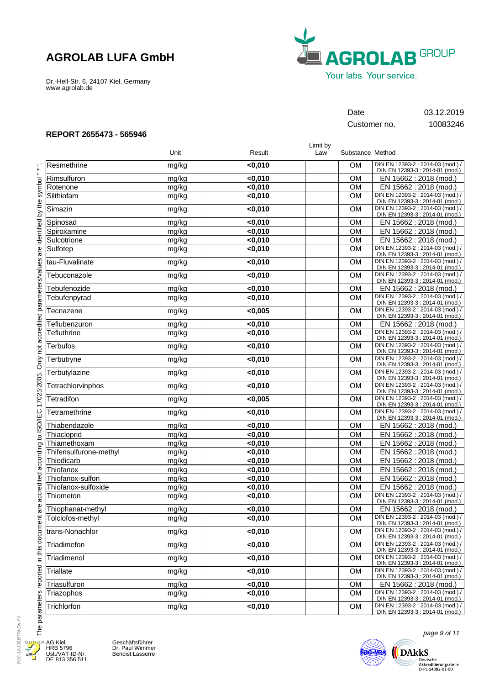Dr.-Hell-Str. 6, 24107 Kiel, Germany www.agrolab.de



## Date 03.12.2019

Customer no. 10083246

Limit by

### **REPORT 2655473 - 565946**

|                        | Unit  | Result  | Law | Substance Method |                                                                      |
|------------------------|-------|---------|-----|------------------|----------------------------------------------------------------------|
| Resmethrine            | mg/kg | $0,010$ |     | OМ               | DIN EN 12393-2 : 2014-03 (mod.) /<br>DIN EN 12393-3 : 2014-01 (mod.) |
| Rimsulfuron            | mg/kg | < 0,010 |     | <b>OM</b>        | EN 15662 : 2018 (mod.)                                               |
| Rotenone               | mg/kg | < 0,010 |     | OM               | EN 15662 : 2018 (mod.)                                               |
| Silthiofam             | mg/kg | $0,010$ |     | <b>OM</b>        | DIN EN 12393-2 : 2014-03 (mod.) /<br>DIN EN 12393-3 : 2014-01 (mod.) |
| Simazin                | mg/kg | $0,010$ |     | <b>OM</b>        | DIN EN 12393-2 : 2014-03 (mod.) /<br>DIN EN 12393-3 : 2014-01 (mod.) |
| Spinosad               | mg/kg | < 0,010 |     | <b>OM</b>        | EN 15662 : 2018 (mod.)                                               |
| Spiroxamine            | mg/kg | < 0,010 |     | <b>OM</b>        | EN 15662 : 2018 (mod.)                                               |
| Sulcotrione            | mg/kg | < 0,010 |     | OM               | EN 15662 : 2018 (mod.)                                               |
| Sulfotep               | mg/kg | $0,010$ |     | <b>OM</b>        | DIN EN 12393-2 : 2014-03 (mod.) /<br>DIN EN 12393-3 : 2014-01 (mod.) |
| tau-Fluvalinate        | mg/kg | $0,010$ |     | <b>OM</b>        | DIN EN 12393-2 : 2014-03 (mod.) /<br>DIN EN 12393-3 : 2014-01 (mod.) |
| Tebuconazole           | mg/kg | $0,010$ |     | <b>OM</b>        | DIN EN 12393-2 : 2014-03 (mod.) /<br>DIN EN 12393-3 : 2014-01 (mod.) |
| Tebufenozide           | mg/kg | < 0,010 |     | <b>OM</b>        | EN 15662 : 2018 (mod.)                                               |
| Tebufenpyrad           | mg/kg | < 0,010 |     | <b>OM</b>        | DIN EN 12393-2 : 2014-03 (mod.) /<br>DIN EN 12393-3 : 2014-01 (mod.) |
| Tecnazene              | mg/kg | < 0,005 |     | <b>OM</b>        | DIN EN 12393-2 : 2014-03 (mod.) /<br>DIN EN 12393-3 : 2014-01 (mod.) |
| Teflubenzuron          | mg/kg | < 0,010 |     | <b>OM</b>        | EN 15662: 2018 (mod.)                                                |
| <b>Tefluthrine</b>     | mg/kg | $0,010$ |     | <b>OM</b>        | DIN EN 12393-2 : 2014-03 (mod.) /<br>DIN EN 12393-3 : 2014-01 (mod.) |
| <b>Terbufos</b>        | mg/kg | $0,010$ |     | <b>OM</b>        | DIN EN 12393-2 : 2014-03 (mod.) /<br>DIN EN 12393-3 : 2014-01 (mod.) |
| Terbutryne             | mg/kg | $0,010$ |     | <b>OM</b>        | DIN EN 12393-2 : 2014-03 (mod.) /<br>DIN EN 12393-3 : 2014-01 (mod.) |
| Terbutylazine          | mg/kg | $0,010$ |     | <b>OM</b>        | DIN EN 12393-2 : 2014-03 (mod.) /<br>DIN EN 12393-3 : 2014-01 (mod.) |
| Tetrachlorvinphos      | mg/kg | < 0,010 |     | <b>OM</b>        | DIN EN 12393-2 : 2014-03 (mod.) /<br>DIN EN 12393-3 : 2014-01 (mod.) |
| Tetradifon             | mg/kg | < 0,005 |     | <b>OM</b>        | DIN EN 12393-2 : 2014-03 (mod.) /<br>DIN EN 12393-3 : 2014-01 (mod.) |
| Tetramethrine          | mg/kg | $0,010$ |     | <b>OM</b>        | DIN EN 12393-2 : 2014-03 (mod.) /<br>DIN EN 12393-3 : 2014-01 (mod.) |
| Thiabendazole          | mg/kg | < 0,010 |     | OM               | EN 15662 : 2018 (mod.)                                               |
| Thiacloprid            | mg/kg | < 0,010 |     | OM               | EN 15662 : 2018 (mod.)                                               |
| Thiamethoxam           | mg/kg | $0,010$ |     | <b>OM</b>        | EN 15662 : 2018 (mod.)                                               |
| Thifensulfurone-methyl | mg/kg | < 0,010 |     | <b>OM</b>        | EN 15662 : 2018 (mod.)                                               |
| Thiodicarb             | mg/kg | < 0,010 |     | <b>OM</b>        | EN 15662 : 2018 (mod.)                                               |
| Thiofanox              | mg/kg | < 0,010 |     | <b>OM</b>        | EN 15662 : 2018 (mod.)                                               |
| Thiofanox-sulfon       | mg/kg | < 0,010 |     | OM               | EN 15662 : 2018 (mod.)                                               |
| Thiofanox-sulfoxide    | mg/kg | $0,010$ |     | <b>OM</b>        | EN 15662 : 2018 (mod.)                                               |
| Thiometon              | mg/kg | $0,010$ |     | <b>OM</b>        | DIN EN 12393-2 : 2014-03 (mod.) /<br>DIN EN 12393-3 : 2014-01 (mod.) |
| Thiophanat-methyl      | mg/kg | < 0,010 |     | <b>OM</b>        | EN 15662 : 2018 (mod.)                                               |
| Tolclofos-methyl       | mg/kg | < 0,010 |     | <b>OM</b>        | DIN EN 12393-2 : 2014-03 (mod.) /<br>DIN EN 12393-3 : 2014-01 (mod.) |
| trans-Nonachlor        | mg/kg | < 0,010 |     | OM               | DIN EN 12393-2 : 2014-03 (mod.) /<br>DIN EN 12393-3 : 2014-01 (mod.) |
| Triadimefon            | mg/kg | < 0,010 |     | OM               | DIN EN 12393-2 : 2014-03 (mod.) /<br>DIN EN 12393-3 : 2014-01 (mod.) |
| Triadimenol            | mg/kg | $0,010$ |     | <b>OM</b>        | DIN EN 12393-2 : 2014-03 (mod.) /<br>DIN EN 12393-3 : 2014-01 (mod.) |
| <b>Triallate</b>       | mg/kg | $0,010$ |     | <b>OM</b>        | DIN EN 12393-2 : 2014-03 (mod.) /<br>DIN EN 12393-3 : 2014-01 (mod.) |
| Triasulfuron           | mg/kg | < 0,010 |     | OM               | EN 15662 : 2018 (mod.)                                               |
| Triazophos             | mg/kg | $0,010$ |     | <b>OM</b>        | DIN EN 12393-2 : 2014-03 (mod.) /<br>DIN EN 12393-3 : 2014-01 (mod.) |
| Trichlorfon            | mg/kg | <0,010  |     | OM               | DIN EN 12393-2 : 2014-03 (mod.) /<br>DIN EN 12393-3 : 2014-01 (mod.) |

DOC-12-13515759-EN-P9 DOC-12-13515759-EN-P9 03.12.19 16:27Æ E

AG Kiel HRB 5796 Ust./VAT-ID-Nr: DE 813 356 511

Geschäftsführer Dr. Paul Wimmer Benoist Lasserre



page 9 of 11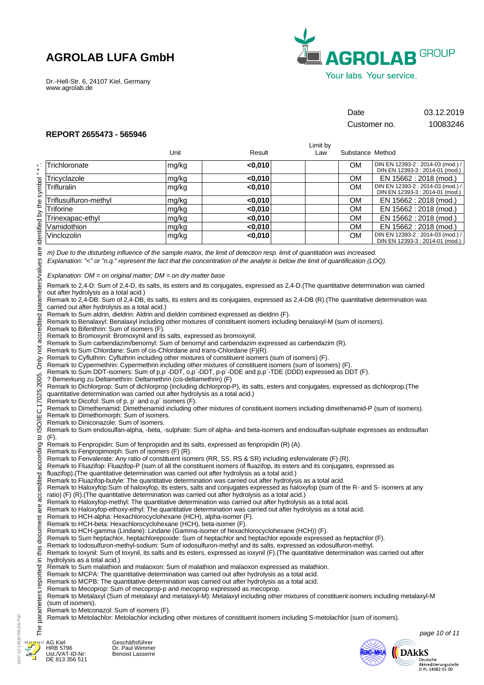Dr.-Hell-Str. 6, 24107 Kiel, Germany www.agrolab.de



Date 03.12.2019

Customer no. 10083246

### **REPORT 2655473 - 565946**

|                                                                                                                                                                                         |                                                                                                                                                                                                                                                                                                                                                                                                                                                                                                                                                                                                                                                                                                                                                                                                                                                                                                                                                                                                                                                                                                                                                                                                                                                                                                                                                                                                                                                                                                                                                                                                                                                                                                                                                                                                                                                                                                                                                                                                                                                                                                                                                                                                                                                                                                                                                                                                                                                                                                                                                                                                                                                                                                                                                                                                                                                                                                                                                                                                                                                                                                                                                                                                                                                                                                                                                                                                                                                                                                                                                                                                                                                                                                                                                                                                                                                                                                                                                                                                                                                                                                                                                                                                                                                                                                                                                                                                                                                                                                                                                                                                                                                     |       |         | Limit by |                  |                                                           |
|-----------------------------------------------------------------------------------------------------------------------------------------------------------------------------------------|-----------------------------------------------------------------------------------------------------------------------------------------------------------------------------------------------------------------------------------------------------------------------------------------------------------------------------------------------------------------------------------------------------------------------------------------------------------------------------------------------------------------------------------------------------------------------------------------------------------------------------------------------------------------------------------------------------------------------------------------------------------------------------------------------------------------------------------------------------------------------------------------------------------------------------------------------------------------------------------------------------------------------------------------------------------------------------------------------------------------------------------------------------------------------------------------------------------------------------------------------------------------------------------------------------------------------------------------------------------------------------------------------------------------------------------------------------------------------------------------------------------------------------------------------------------------------------------------------------------------------------------------------------------------------------------------------------------------------------------------------------------------------------------------------------------------------------------------------------------------------------------------------------------------------------------------------------------------------------------------------------------------------------------------------------------------------------------------------------------------------------------------------------------------------------------------------------------------------------------------------------------------------------------------------------------------------------------------------------------------------------------------------------------------------------------------------------------------------------------------------------------------------------------------------------------------------------------------------------------------------------------------------------------------------------------------------------------------------------------------------------------------------------------------------------------------------------------------------------------------------------------------------------------------------------------------------------------------------------------------------------------------------------------------------------------------------------------------------------------------------------------------------------------------------------------------------------------------------------------------------------------------------------------------------------------------------------------------------------------------------------------------------------------------------------------------------------------------------------------------------------------------------------------------------------------------------------------------------------------------------------------------------------------------------------------------------------------------------------------------------------------------------------------------------------------------------------------------------------------------------------------------------------------------------------------------------------------------------------------------------------------------------------------------------------------------------------------------------------------------------------------------------------------------------------------------------------------------------------------------------------------------------------------------------------------------------------------------------------------------------------------------------------------------------------------------------------------------------------------------------------------------------------------------------------------------------------------------------------------------------------------------------------|-------|---------|----------|------------------|-----------------------------------------------------------|
|                                                                                                                                                                                         |                                                                                                                                                                                                                                                                                                                                                                                                                                                                                                                                                                                                                                                                                                                                                                                                                                                                                                                                                                                                                                                                                                                                                                                                                                                                                                                                                                                                                                                                                                                                                                                                                                                                                                                                                                                                                                                                                                                                                                                                                                                                                                                                                                                                                                                                                                                                                                                                                                                                                                                                                                                                                                                                                                                                                                                                                                                                                                                                                                                                                                                                                                                                                                                                                                                                                                                                                                                                                                                                                                                                                                                                                                                                                                                                                                                                                                                                                                                                                                                                                                                                                                                                                                                                                                                                                                                                                                                                                                                                                                                                                                                                                                                     | Unit  | Result  | Law      | Substance Method |                                                           |
| $\frac{1}{\ast}$                                                                                                                                                                        | Trichloronate                                                                                                                                                                                                                                                                                                                                                                                                                                                                                                                                                                                                                                                                                                                                                                                                                                                                                                                                                                                                                                                                                                                                                                                                                                                                                                                                                                                                                                                                                                                                                                                                                                                                                                                                                                                                                                                                                                                                                                                                                                                                                                                                                                                                                                                                                                                                                                                                                                                                                                                                                                                                                                                                                                                                                                                                                                                                                                                                                                                                                                                                                                                                                                                                                                                                                                                                                                                                                                                                                                                                                                                                                                                                                                                                                                                                                                                                                                                                                                                                                                                                                                                                                                                                                                                                                                                                                                                                                                                                                                                                                                                                                                       | mg/kg | $0,010$ |          | OМ               | DIN EN 12393-2 : 2014-03 (mod.) /                         |
| $\equiv$                                                                                                                                                                                | Tricyclazole                                                                                                                                                                                                                                                                                                                                                                                                                                                                                                                                                                                                                                                                                                                                                                                                                                                                                                                                                                                                                                                                                                                                                                                                                                                                                                                                                                                                                                                                                                                                                                                                                                                                                                                                                                                                                                                                                                                                                                                                                                                                                                                                                                                                                                                                                                                                                                                                                                                                                                                                                                                                                                                                                                                                                                                                                                                                                                                                                                                                                                                                                                                                                                                                                                                                                                                                                                                                                                                                                                                                                                                                                                                                                                                                                                                                                                                                                                                                                                                                                                                                                                                                                                                                                                                                                                                                                                                                                                                                                                                                                                                                                                        | mg/kg | < 0.010 |          | OМ               | DIN EN 12393-3 : 2014-01 (mod.)<br>EN 15662 : 2018 (mod.) |
|                                                                                                                                                                                         | Trifluralin                                                                                                                                                                                                                                                                                                                                                                                                                                                                                                                                                                                                                                                                                                                                                                                                                                                                                                                                                                                                                                                                                                                                                                                                                                                                                                                                                                                                                                                                                                                                                                                                                                                                                                                                                                                                                                                                                                                                                                                                                                                                                                                                                                                                                                                                                                                                                                                                                                                                                                                                                                                                                                                                                                                                                                                                                                                                                                                                                                                                                                                                                                                                                                                                                                                                                                                                                                                                                                                                                                                                                                                                                                                                                                                                                                                                                                                                                                                                                                                                                                                                                                                                                                                                                                                                                                                                                                                                                                                                                                                                                                                                                                         | mg/kg | < 0,010 |          | <b>OM</b>        | DIN EN 12393-2 : 2014-03 (mod.) /                         |
|                                                                                                                                                                                         | Triflusulfuron-methyl                                                                                                                                                                                                                                                                                                                                                                                                                                                                                                                                                                                                                                                                                                                                                                                                                                                                                                                                                                                                                                                                                                                                                                                                                                                                                                                                                                                                                                                                                                                                                                                                                                                                                                                                                                                                                                                                                                                                                                                                                                                                                                                                                                                                                                                                                                                                                                                                                                                                                                                                                                                                                                                                                                                                                                                                                                                                                                                                                                                                                                                                                                                                                                                                                                                                                                                                                                                                                                                                                                                                                                                                                                                                                                                                                                                                                                                                                                                                                                                                                                                                                                                                                                                                                                                                                                                                                                                                                                                                                                                                                                                                                               | mg/kg | < 0,010 |          | <b>OM</b>        | DIN EN 12393-3 : 2014-01 (mod.)<br>EN 15662 : 2018 (mod.) |
|                                                                                                                                                                                         | Triforine                                                                                                                                                                                                                                                                                                                                                                                                                                                                                                                                                                                                                                                                                                                                                                                                                                                                                                                                                                                                                                                                                                                                                                                                                                                                                                                                                                                                                                                                                                                                                                                                                                                                                                                                                                                                                                                                                                                                                                                                                                                                                                                                                                                                                                                                                                                                                                                                                                                                                                                                                                                                                                                                                                                                                                                                                                                                                                                                                                                                                                                                                                                                                                                                                                                                                                                                                                                                                                                                                                                                                                                                                                                                                                                                                                                                                                                                                                                                                                                                                                                                                                                                                                                                                                                                                                                                                                                                                                                                                                                                                                                                                                           | mg/kg | < 0,010 |          | <b>OM</b>        | EN 15662 : 2018 (mod.)                                    |
|                                                                                                                                                                                         | Trinexapac-ethyl                                                                                                                                                                                                                                                                                                                                                                                                                                                                                                                                                                                                                                                                                                                                                                                                                                                                                                                                                                                                                                                                                                                                                                                                                                                                                                                                                                                                                                                                                                                                                                                                                                                                                                                                                                                                                                                                                                                                                                                                                                                                                                                                                                                                                                                                                                                                                                                                                                                                                                                                                                                                                                                                                                                                                                                                                                                                                                                                                                                                                                                                                                                                                                                                                                                                                                                                                                                                                                                                                                                                                                                                                                                                                                                                                                                                                                                                                                                                                                                                                                                                                                                                                                                                                                                                                                                                                                                                                                                                                                                                                                                                                                    | mg/kg | < 0,010 |          | <b>OM</b>        | EN 15662 : 2018 (mod.)                                    |
|                                                                                                                                                                                         | Vamidothion                                                                                                                                                                                                                                                                                                                                                                                                                                                                                                                                                                                                                                                                                                                                                                                                                                                                                                                                                                                                                                                                                                                                                                                                                                                                                                                                                                                                                                                                                                                                                                                                                                                                                                                                                                                                                                                                                                                                                                                                                                                                                                                                                                                                                                                                                                                                                                                                                                                                                                                                                                                                                                                                                                                                                                                                                                                                                                                                                                                                                                                                                                                                                                                                                                                                                                                                                                                                                                                                                                                                                                                                                                                                                                                                                                                                                                                                                                                                                                                                                                                                                                                                                                                                                                                                                                                                                                                                                                                                                                                                                                                                                                         | mg/kg | $0,010$ |          | <b>OM</b>        | EN 15662 : 2018 (mod.)                                    |
|                                                                                                                                                                                         | Vinclozolin                                                                                                                                                                                                                                                                                                                                                                                                                                                                                                                                                                                                                                                                                                                                                                                                                                                                                                                                                                                                                                                                                                                                                                                                                                                                                                                                                                                                                                                                                                                                                                                                                                                                                                                                                                                                                                                                                                                                                                                                                                                                                                                                                                                                                                                                                                                                                                                                                                                                                                                                                                                                                                                                                                                                                                                                                                                                                                                                                                                                                                                                                                                                                                                                                                                                                                                                                                                                                                                                                                                                                                                                                                                                                                                                                                                                                                                                                                                                                                                                                                                                                                                                                                                                                                                                                                                                                                                                                                                                                                                                                                                                                                         | mg/kg | $0,010$ |          | <b>OM</b>        | DIN EN 12393-2 : 2014-03 (mod.) /                         |
| Only not accredited parameters/values are identified by the symbol<br>17025:2005.<br>accredited according to ISO/IEC<br>ω<br>$\bar{\sigma}$<br>The parameters reported in this document | m) Due to the disturbing influence of the sample matrix, the limit of detection resp. limit of quantitation was increased.<br>Explanation: "<" or "n.q." represent the fact that the concentration of the analyte is below the limit of quantification (LOQ).<br>Explanation: $OM = on$ original matter; $DM = on$ dry matter base<br>Remark to 2,4-D: Sum of 2,4-D, its salts, its esters and its conjugates, expressed as 2,4-D. (The quantitative determination was carried<br>out after hydrolysis as a total acid.)<br>Remark to 2,4-DB: Sum of 2,4-DB, its salts, its esters and its conjugates, expressed as 2,4-DB (R). (The quantitative determination was<br>carried out after hydrolysis as a total acid.)<br>Remark to Sum aldrin, dieldrin: Aldrin and dieldrin combined expressed as dieldrin (F).<br>Remark to Benalaxyl: Benalaxyl including other mixtures of constituent isomers including benalaxyl-M (sum of isomers).<br>Remark to Bifenthrin: Sum of isomers (F).<br>Remark to Bromoxynil: Bromoxynil and its salts, expressed as bromoxynil.<br>Remark to Sum carbendazim/benomyl: Sum of benomyl and carbendazim expressed as carbendazim (R).<br>Remark to Sum Chlordane: Sum of cis-Chlordane and trans-Chlordane (F)(R).<br>Remark to Cyfluthrin: Cyfluthrin including other mixtures of constituent isomers (sum of isomers) (F).<br>Remark to Cypermethrin: Cypermethrin including other mixtures of constituent isomers (sum of isomers) (F).<br>Remark to Sum DDT-isomers: Sum of p,p'-DDT, o,p'-DDT, p-p'-DDE and p,p'-TDE (DDD) expressed as DDT (F).<br>? Bemerkung zu Deltamethrin: Deltamethrin (cis-deltamethrin) (F)<br>Remark to Dichlorprop: Sum of dichlorprop (including dichlorprop-P), its salts, esters and conjugates, expressed as dichlorprop. (The<br>quantitative determination was carried out after hydrolysis as a total acid.)<br>Remark to Dicofol: Sum of p, p' and o,p' isomers (F).<br>Remark to Dimethenamid: Dimethenamid including other mixtures of constituent isomers including dimethenamid-P (sum of isomers).<br>Remark to Dimethomorph: Sum of isomers.<br>Remark to Diniconazole: Sum of isomers.<br>Remark to Sum endosulfan-alpha, -beta, -sulphate: Sum of alpha- and beta-isomers and endosulfan-sulphate expresses as endosulfan<br>$(F)$ .<br>Remark to Fenpropidin: Sum of fenpropidin and its salts, expressed as fenpropidin (R) (A).<br>Remark to Fenpropimorph: Sum of isomers (F) (R).<br>Remark to Fenvalerate: Any ratio of constituent isomers (RR, SS, RS & SR) including esfenvalerate (F) (R).<br>Remark to Fluazifop: Fluazifop-P (sum of all the constituent isomers of fluazifop, its esters and its conjugates, expressed as<br>fluazifop). (The quantitative determination was carried out after hydrolysis as a total acid.)<br>Remark to Fluazifop-butyle: The quantitative determination was carried out after hydrolysis as a total acid.<br>Remark to Haloxyfop:Sum of haloxyfop, its esters, salts and conjugates expressed as haloxyfop (sum of the R- and S- isomers at any<br>ratio) (F) (R). (The quantitative determination was carried out after hydrolysis as a total acid.)<br>Remark to Haloxyfop-methyl: The quantitative determination was carried out after hydrolysis as a total acid.<br>Remark to Haloxyfop-ethoxy-ethyl: The quantitative determination was carried out after hydrolysis as a total acid.<br>Remark to HCH-alpha: Hexachlorocyclohexane (HCH), alpha-isomer (F).<br>Remark to HCH-beta: Hexachlorocyclohexane (HCH), beta-isomer (F).<br>Remark to HCH-gamma (Lindane): Lindane (Gamma-isomer of hexachlorocyclohexane (HCH)) (F).<br>Remark to Sum heptachlor, heptachlorepoxide: Sum of heptachlor and heptachlor epoxide expressed as heptachlor (F).<br>Remark to lodosulfuron-methyl-sodium: Sum of iodosulfuron-methyl and its salts, expressed as iodosulfuron-methyl.<br>Remark to loxynil: Sum of loxynil, its salts and its esters, expressed as ioxynil (F). (The quantitative determination was carried out after<br>hydrolysis as a total acid.)<br>Remark to Sum malathion and malaoxon: Sum of malathion and malaoxon expressed as malathion.<br>Remark to MCPA: The quantitative determination was carried out after hydrolysis as a total acid.<br>Remark to MCPB: The quantitative determination was carried out after hydrolysis as a total acid.<br>Remark to Mecoprop: Sum of mecoprop-p and mecoprop expressed as mecoprop.<br>Remark to Metalaxyl (Sum of metalaxyl and metalaxyl-M): Metalaxyl including other mixtures of constituent isomers including metalaxyl-M<br>(sum of isomers). |       |         |          |                  | DIN EN 12393-3 : 2014-01 (mod.)                           |
|                                                                                                                                                                                         | Remark to Metconazol: Sum of isomers (F).<br>Remark to Metolachlor: Metolachlor including other mixtures of constituent isomers including S-metolachlor (sum of isomers).                                                                                                                                                                                                                                                                                                                                                                                                                                                                                                                                                                                                                                                                                                                                                                                                                                                                                                                                                                                                                                                                                                                                                                                                                                                                                                                                                                                                                                                                                                                                                                                                                                                                                                                                                                                                                                                                                                                                                                                                                                                                                                                                                                                                                                                                                                                                                                                                                                                                                                                                                                                                                                                                                                                                                                                                                                                                                                                                                                                                                                                                                                                                                                                                                                                                                                                                                                                                                                                                                                                                                                                                                                                                                                                                                                                                                                                                                                                                                                                                                                                                                                                                                                                                                                                                                                                                                                                                                                                                           |       |         |          |                  |                                                           |
|                                                                                                                                                                                         |                                                                                                                                                                                                                                                                                                                                                                                                                                                                                                                                                                                                                                                                                                                                                                                                                                                                                                                                                                                                                                                                                                                                                                                                                                                                                                                                                                                                                                                                                                                                                                                                                                                                                                                                                                                                                                                                                                                                                                                                                                                                                                                                                                                                                                                                                                                                                                                                                                                                                                                                                                                                                                                                                                                                                                                                                                                                                                                                                                                                                                                                                                                                                                                                                                                                                                                                                                                                                                                                                                                                                                                                                                                                                                                                                                                                                                                                                                                                                                                                                                                                                                                                                                                                                                                                                                                                                                                                                                                                                                                                                                                                                                                     |       |         |          |                  |                                                           |
|                                                                                                                                                                                         |                                                                                                                                                                                                                                                                                                                                                                                                                                                                                                                                                                                                                                                                                                                                                                                                                                                                                                                                                                                                                                                                                                                                                                                                                                                                                                                                                                                                                                                                                                                                                                                                                                                                                                                                                                                                                                                                                                                                                                                                                                                                                                                                                                                                                                                                                                                                                                                                                                                                                                                                                                                                                                                                                                                                                                                                                                                                                                                                                                                                                                                                                                                                                                                                                                                                                                                                                                                                                                                                                                                                                                                                                                                                                                                                                                                                                                                                                                                                                                                                                                                                                                                                                                                                                                                                                                                                                                                                                                                                                                                                                                                                                                                     |       |         |          |                  | page 10 of 11                                             |



AG Kiel HRB 5796 Ust./VAT-ID-Nr: DE 813 356 511 Geschäftsführer Dr. Paul Wimmer Benoist Lasserre